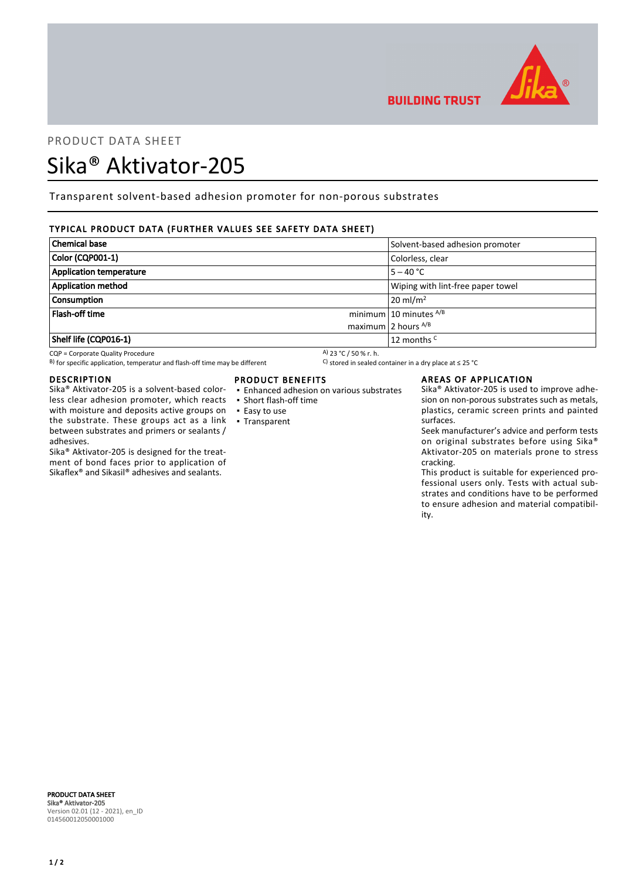

## PRODUCT DATA SHEET

# Sika® Aktivator-205

Transparent solvent-based adhesion promoter for non-porous substrates

## TYPICAL PRODUCT DATA (FURTHER VALUES SEE SAFETY DATA SHEET)

| <b>Chemical base</b>      | Solvent-based adhesion promoter   |
|---------------------------|-----------------------------------|
| Color (CQP001-1)          | Colorless, clear                  |
| Application temperature   | $5 - 40 °C$                       |
| <b>Application method</b> | Wiping with lint-free paper towel |
| <b>Consumption</b>        | $20 \text{ ml/m}^2$               |
| Flash-off time            | minimum $10$ minutes $^{A/B}$     |
|                           | maximum 2 hours $^{A/B}$          |
| Shelf life (CQP016-1)     | 12 months <sup>C</sup>            |

CQP = Corporate Quality Procedure<br>
B) for specific application, temperatur and flash-off time may be different  $\begin{array}{c} \text{A)}$  23 °C / 50 % r. h.<br>
A) for specific application, temperatur and flash-off time may be different B) for specific application, temperatur and flash-off time may be different

#### DESCRIPTION

Sika® Aktivator-205 is a solvent-based colorless clear adhesion promoter, which reacts with moisture and deposits active groups on the substrate. These groups act as a link between substrates and primers or sealants / adhesives.

Sika® Aktivator-205 is designed for the treatment of bond faces prior to application of Sikaflex® and Sikasil® adhesives and sealants.

## PRODUCT BENEFITS

- Enhanced adhesion on various substrates
- Short flash-off time
- Easy to use
- Transparent

#### AREAS OF APPLICATION

**BUILDING TRUST** 

Sika® Aktivator-205 is used to improve adhesion on non-porous substrates such as metals, plastics, ceramic screen prints and painted surfaces.

Seek manufacturer's advice and perform tests on original substrates before using Sika® Aktivator-205 on materials prone to stress cracking.

This product is suitable for experienced professional users only. Tests with actual substrates and conditions have to be performed to ensure adhesion and material compatibility.

PRODUCT DATA SHEET Sika® Aktivator-205 Version 02.01 (12 - 2021), en\_ID 014560012050001000